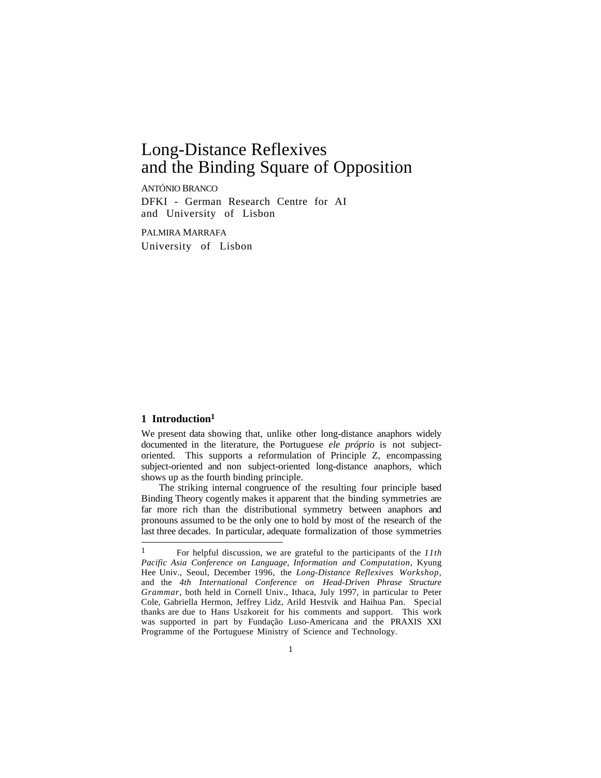# ANTÓNIO BRANCO

DFKI - German Research Centre for AI and University of Lisbon

PALMIRA MARRAFA University of Lisbon

# **1 Introduction1**

 $\overline{a}$ 

We present data showing that, unlike other long-distance anaphors widely documented in the literature, the Portuguese *ele próprio* is not subjectoriented. This supports a reformulation of Principle Z, encompassing subject-oriented and non subject-oriented long-distance anaphors, which shows up as the fourth binding principle.

The striking internal congruence of the resulting four principle based Binding Theory cogently makes it apparent that the binding symmetries are far more rich than the distributional symmetry between anaphors and pronouns assumed to be the only one to hold by most of the research of the last three decades. In particular, adequate formalization of those symmetries

<sup>1</sup> For helpful discussion, we are grateful to the participants of the *11th Pacific Asia Conference on Language, Information and Computation*, Kyung Hee Univ., Seoul, December 1996, the *Long-Distance Reflexives Workshop*, and the *4th International Conference on Head-Driven Phrase Structure Grammar*, both held in Cornell Univ., Ithaca, July 1997, in particular to Peter Cole, Gabriella Hermon, Jeffrey Lidz, Arild Hestvik and Haihua Pan. Special thanks are due to Hans Uszkoreit for his comments and support. This work was supported in part by Fundação Luso-Americana and the PRAXIS XXI Programme of the Portuguese Ministry of Science and Technology.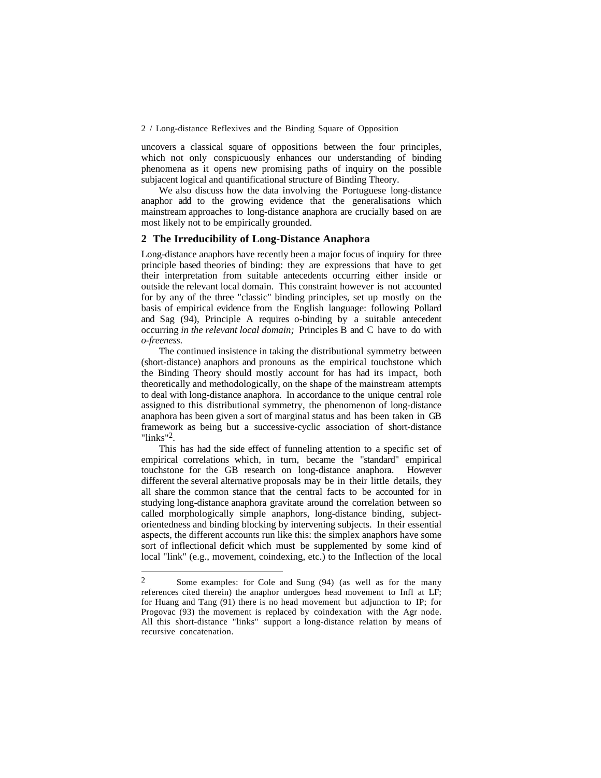uncovers a classical square of oppositions between the four principles, which not only conspicuously enhances our understanding of binding phenomena as it opens new promising paths of inquiry on the possible subjacent logical and quantificational structure of Binding Theory.

We also discuss how the data involving the Portuguese long-distance anaphor add to the growing evidence that the generalisations which mainstream approaches to long-distance anaphora are crucially based on are most likely not to be empirically grounded.

# **2 The Irreducibility of Long-Distance Anaphora**

Long-distance anaphors have recently been a major focus of inquiry for three principle based theories of binding: they are expressions that have to get their interpretation from suitable antecedents occurring either inside or outside the relevant local domain. This constraint however is not accounted for by any of the three "classic" binding principles, set up mostly on the basis of empirical evidence from the English language: following Pollard and Sag (94), Principle A requires o-binding by a suitable antecedent occurring *in the relevant local domain;* Principles B and C have to do with *o-freeness*.

The continued insistence in taking the distributional symmetry between (short-distance) anaphors and pronouns as the empirical touchstone which the Binding Theory should mostly account for has had its impact, both theoretically and methodologically, on the shape of the mainstream attempts to deal with long-distance anaphora. In accordance to the unique central role assigned to this distributional symmetry, the phenomenon of long-distance anaphora has been given a sort of marginal status and has been taken in GB framework as being but a successive-cyclic association of short-distance "links"2.

This has had the side effect of funneling attention to a specific set of empirical correlations which, in turn, became the "standard" empirical touchstone for the GB research on long-distance anaphora. However different the several alternative proposals may be in their little details, they all share the common stance that the central facts to be accounted for in studying long-distance anaphora gravitate around the correlation between so called morphologically simple anaphors, long-distance binding, subjectorientedness and binding blocking by intervening subjects. In their essential aspects, the different accounts run like this: the simplex anaphors have some sort of inflectional deficit which must be supplemented by some kind of local "link" (e.g., movement, coindexing, etc.) to the Inflection of the local

 $\overline{a}$ 

<sup>2</sup> Some examples: for Cole and Sung (94) (as well as for the many references cited therein) the anaphor undergoes head movement to Infl at LF; for Huang and Tang (91) there is no head movement but adjunction to IP; for Progovac (93) the movement is replaced by coindexation with the Agr node. All this short-distance "links" support a long-distance relation by means of recursive concatenation.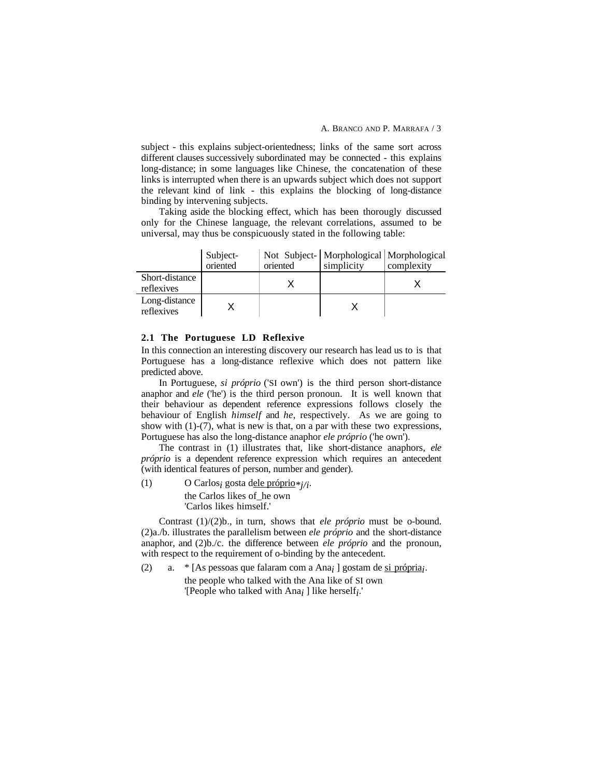A. BRANCO AND P. MARRAFA / 3

subject - this explains subject-orientedness; links of the same sort across different clauses successively subordinated may be connected - this explains long-distance; in some languages like Chinese, the concatenation of these links is interrupted when there is an upwards subject which does not support the relevant kind of link - this explains the blocking of long-distance binding by intervening subjects.

Taking aside the blocking effect, which has been thorougly discussed only for the Chinese language, the relevant correlations, assumed to be universal, may thus be conspicuously stated in the following table:

|                              | Subject- |          | Not Subject-   Morphological   Morphological |            |
|------------------------------|----------|----------|----------------------------------------------|------------|
|                              | oriented | oriented | simplicity                                   | complexity |
| Short-distance<br>reflexives |          |          |                                              |            |
| Long-distance<br>reflexives  |          |          |                                              |            |

## **2.1 The Portuguese LD Reflexive**

In this connection an interesting discovery our research has lead us to is that Portuguese has a long-distance reflexive which does not pattern like predicted above.

In Portuguese, *si próprio* ('SI own') is the third person short-distance anaphor and *ele* ('he') is the third person pronoun. It is well known that their behaviour as dependent reference expressions follows closely the behaviour of English *himself* and *he*, respectively. As we are going to show with (1)-(7), what is new is that, on a par with these two expressions, Portuguese has also the long-distance anaphor *ele próprio* ('he own').

The contrast in (1) illustrates that, like short-distance anaphors, *ele próprio* is a dependent reference expression which requires an antecedent (with identical features of person, number and gender).

(1) O Carlos<sub>i</sub> gosta d<u>ele próprio</u> $*_{i/i}$ . the Carlos likes of\_he own 'Carlos likes himself.'

Contrast (1)/(2)b., in turn, shows that *ele próprio* must be o-bound. (2)a./b. illustrates the parallelism between *ele próprio* and the short-distance anaphor, and (2)b./c. the difference between *ele próprio* and the pronoun, with respect to the requirement of o-binding by the antecedent.

(2) a. \* [As pessoas que falaram com a Ana<sub>i</sub> ] gostam de <u>si própria</u><sub>i</sub>. the people who talked with the Ana like of SI own '[People who talked with Ana*i* ] like herself*i*.'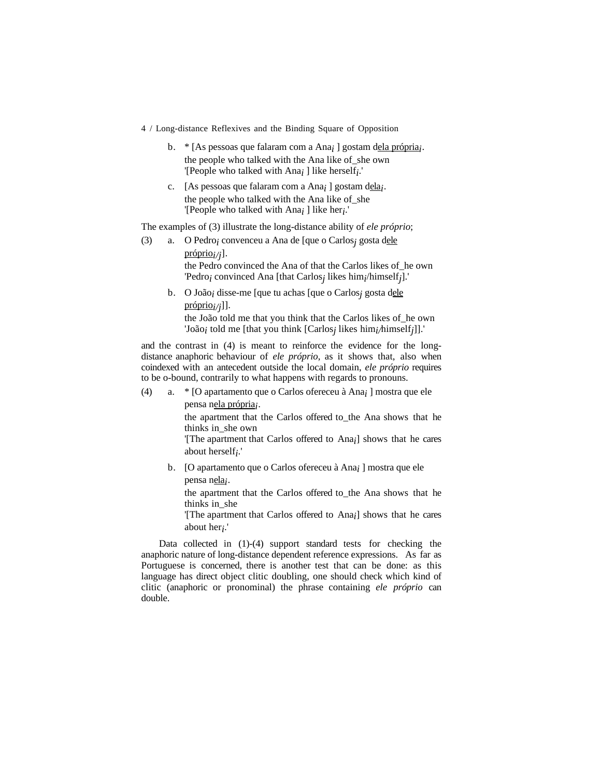- 4 / Long-distance Reflexives and the Binding Square of Opposition
	- b. \* [As pessoas que falaram com a Ana<sub>i</sub> ] gostam dela própria<sub>j</sub>. the people who talked with the Ana like of\_she own '[People who talked with Ana*i* ] like herself*i*.'
	- c. [As pessoas que falaram com a Ana<sub>i</sub> ] gostam dela<sub>*i*</sub>. the people who talked with the Ana like of\_she '[People who talked with Ana*i* ] like her*i*.'

The examples of (3) illustrate the long-distance ability of *ele próprio*;

- (3) a. O Pedro*i* convenceu a Ana de [que o Carlos*j* gosta dele  $projiprioj$ . the Pedro convinced the Ana of that the Carlos likes of\_he own 'Pedro*i* convinced Ana [that Carlos*j* likes him*i*/himself*j*].'
	- b. O João*i* disse-me [que tu achas [que o Carlos*j* gosta dele  $proj[*i*]$ ]. the João told me that you think that the Carlos likes of\_he own

'João*i* told me [that you think [Carlos*j* likes him*i/*himself*j*]].'

and the contrast in (4) is meant to reinforce the evidence for the longdistance anaphoric behaviour of *ele próprio*, as it shows that, also when coindexed with an antecedent outside the local domain, *ele próprio* requires to be o-bound, contrarily to what happens with regards to pronouns.

(4) a. \* [O apartamento que o Carlos ofereceu à Ana*i* ] mostra que ele pensa nela própria;.

> the apartment that the Carlos offered to\_the Ana shows that he thinks in\_she own

> '[The apartment that Carlos offered to Ana*i*] shows that he cares about herself*i*.'

b. [O apartamento que o Carlos ofereceu à Ana*i* ] mostra que ele pensa nela<sub>i</sub>.

the apartment that the Carlos offered to\_the Ana shows that he thinks in\_she

'[The apartment that Carlos offered to Ana*i*] shows that he cares about her*i*.'

Data collected in (1)-(4) support standard tests for checking the anaphoric nature of long-distance dependent reference expressions. As far as Portuguese is concerned, there is another test that can be done: as this language has direct object clitic doubling, one should check which kind of clitic (anaphoric or pronominal) the phrase containing *ele próprio* can double.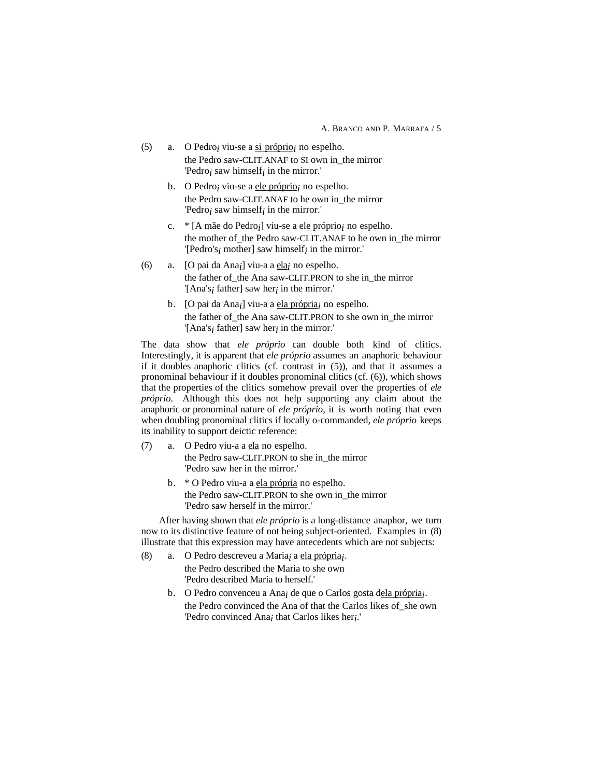A. BRANCO AND P. MARRAFA / 5

- (5) a. O Pedro<sub>i</sub> viu-se a  $\frac{\text{si} \cdot \text{proprio}}{\text{si} \cdot \text{proprio}}$  in espelho. the Pedro saw-CLIT.ANAF to SI own in\_the mirror 'Pedro*i* saw himself*i* in the mirror.'
	- b. O Pedro<sub>i</sub> viu-se a ele próprio<sub>i</sub> no espelho. the Pedro saw-CLIT.ANAF to he own in\_the mirror 'Pedro*i* saw himself*i* in the mirror.'
	- c. \* [A mãe do Pedro<sub>*i*</sub>] viu-se a ele próprio<sub>*i*</sub> no espelho. the mother of the Pedro saw-CLIT.ANAF to he own in the mirror '[Pedro's*i* mother] saw himself*i* in the mirror.'
- (6) a.  $[O \text{ pair } da \text{ An}a_i]$  viu-a a  $\underline{ela}_i$  no espelho. the father of the Ana saw-CLIT.PRON to she in\_the mirror '[Ana's*i* father] saw her*i* in the mirror.'
	- b. [O pai da Ana<sub>i</sub>] viu-a a <u>ela própria</u>*i* no espelho. the father of\_the Ana saw-CLIT.PRON to she own in\_the mirror '[Ana's*i* father] saw her*i* in the mirror.'

The data show that *ele próprio* can double both kind of clitics. Interestingly, it is apparent that *ele próprio* assumes an anaphoric behaviour if it doubles anaphoric clitics (cf. contrast in (5)), and that it assumes a pronominal behaviour if it doubles pronominal clitics (cf. (6)), which shows that the properties of the clitics somehow prevail over the properties of *ele próprio*. Although this does not help supporting any claim about the anaphoric or pronominal nature of *ele próprio*, it is worth noting that even when doubling pronominal clitics if locally o-commanded, *ele próprio* keeps its inability to support deictic reference:

- (7) a. O Pedro viu-a a ela no espelho. the Pedro saw-CLIT.PRON to she in\_the mirror 'Pedro saw her in the mirror.'
	- b. \* O Pedro viu-a a ela própria no espelho. the Pedro saw-CLIT.PRON to she own in\_the mirror 'Pedro saw herself in the mirror.'

After having shown that *ele próprio* is a long-distance anaphor, we turn now to its distinctive feature of not being subject-oriented. Examples in (8) illustrate that this expression may have antecedents which are not subjects:

- (8) a. O Pedro descreveu a Maria*i* a ela própria *i*. the Pedro described the Maria to she own 'Pedro described Maria to herself.'
	- b. O Pedro convenceu a Ana<sub>i</sub> de que o Carlos gosta dela própria<sub>j</sub>. the Pedro convinced the Ana of that the Carlos likes of\_she own 'Pedro convinced Ana*i* that Carlos likes her*i*.'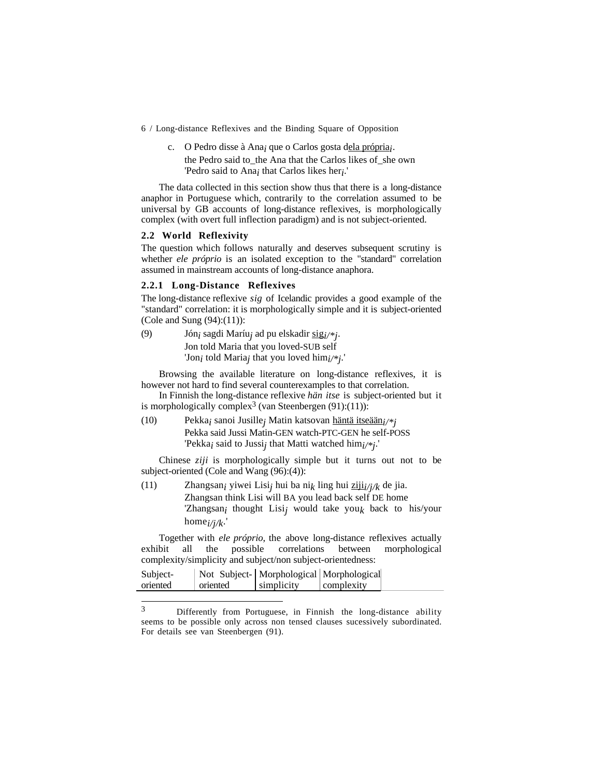c. O Pedro disse à Ana<sub>i</sub> que o Carlos gosta dela própria<sub>*i*</sub>. the Pedro said to the Ana that the Carlos likes of she own 'Pedro said to Ana*i* that Carlos likes her*i*.'

The data collected in this section show thus that there is a long-distance anaphor in Portuguese which, contrarily to the correlation assumed to be universal by GB accounts of long-distance reflexives, is morphologically complex (with overt full inflection paradigm) and is not subject-oriented.

### **2.2 World Reflexivity**

The question which follows naturally and deserves subsequent scrutiny is whether *ele próprio* is an isolated exception to the "standard" correlation assumed in mainstream accounts of long-distance anaphora.

## **2.2.1 Long-Distance Reflexives**

The long-distance reflexive *sig* of Icelandic provides a good example of the "standard" correlation: it is morphologically simple and it is subject-oriented (Cole and Sung (94):(11)):

(9) Jón<sub>i</sub> sagdi Maríu<sub>i</sub> ad pu elskadir sig<sub>i/\*j</sub>. Jon told Maria that you loved-SUB self 'Jon*i* told Maria*j* that you loved him*i/\*j*.'

Browsing the available literature on long-distance reflexives, it is however not hard to find several counterexamples to that correlation.

In Finnish the long-distance reflexive *hän itse* is subject-oriented but it is morphologically complex<sup>3</sup> (van Steenbergen  $(91):(11)$ ):

(10) Pekka*i* sanoi Jusille*j* Matin katsovan häntä itseään *i/\*j* Pekka said Jussi Matin-GEN watch-PTC-GEN he self-POSS 'Pekka*i* said to Jussi*j* that Matti watched him*i/\*j*.'

Chinese *ziji* is morphologically simple but it turns out not to be subject-oriented (Cole and Wang (96):(4)):

(11) Zhangsan<sub>i</sub> yiwei Lisi<sub>j</sub> hui ba ni<sub>k</sub> ling hui  $\frac{1}{2}$  *i*ji<sub>i</sub>/<sub>j</sub>/<sub>k</sub> de jia. Zhangsan think Lisi will BA you lead back self DE home 'Zhangsan*i* thought Lisi*j* would take you*k* back to his/your home*i/j/k*.'

Together with *ele próprio*, the above long-distance reflexives actually exhibit all the possible correlations between morphological complexity/simplicity and subject/non subject-orientedness:

| Subject- |          | Not Subject-   Morphological   Morphological |            |  |
|----------|----------|----------------------------------------------|------------|--|
| oriented | oriented | simplicity                                   | complexity |  |
|          |          |                                              |            |  |

 $\ensuremath{\mathfrak{Z}}$ Differently from Portuguese, in Finnish the long-distance ability seems to be possible only across non tensed clauses sucessively subordinated. For details see van Steenbergen (91).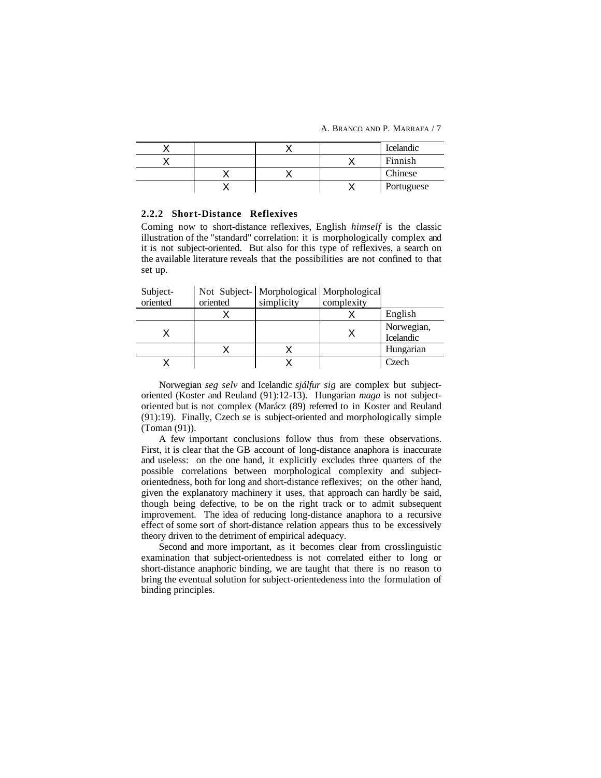A. BRANCO AND P. MARRAFA / 7

|  |  | <b>Icelandic</b> |
|--|--|------------------|
|  |  | Finnish          |
|  |  | Chinese          |
|  |  | Portuguese       |

### **2.2.2 Short-Distance Reflexives**

Coming now to short-distance reflexives, English *himself* is the classic illustration of the "standard" correlation: it is morphologically complex and it is not subject-oriented. But also for this type of reflexives, a search on the available literature reveals that the possibilities are not confined to that set up.

Subject-Not Subject-Morphological Morphological

| oriented | oriented | simplicity | complexity |                         |
|----------|----------|------------|------------|-------------------------|
|          |          |            |            | English                 |
|          |          |            |            | Norwegian,<br>Icelandic |
|          |          |            |            | Hungarian               |
|          |          |            |            | Czech                   |

Norwegian *seg selv* and Icelandic *sjálfur sig* are complex but subjectoriented (Koster and Reuland (91):12-13). Hungarian *maga* is not subjectoriented but is not complex (Marácz (89) referred to in Koster and Reuland (91):19). Finally, Czech *se* is subject-oriented and morphologically simple (Toman (91)).

A few important conclusions follow thus from these observations. First, it is clear that the GB account of long-distance anaphora is inaccurate and useless: on the one hand, it explicitly excludes three quarters of the possible correlations between morphological complexity and subjectorientedness, both for long and short-distance reflexives; on the other hand, given the explanatory machinery it uses, that approach can hardly be said, though being defective, to be on the right track or to admit subsequent improvement. The idea of reducing long-distance anaphora to a recursive effect of some sort of short-distance relation appears thus to be excessively theory driven to the detriment of empirical adequacy.

Second and more important, as it becomes clear from crosslinguistic examination that subject-orientedness is not correlated either to long or short-distance anaphoric binding, we are taught that there is no reason to bring the eventual solution for subject-orientedeness into the formulation of binding principles.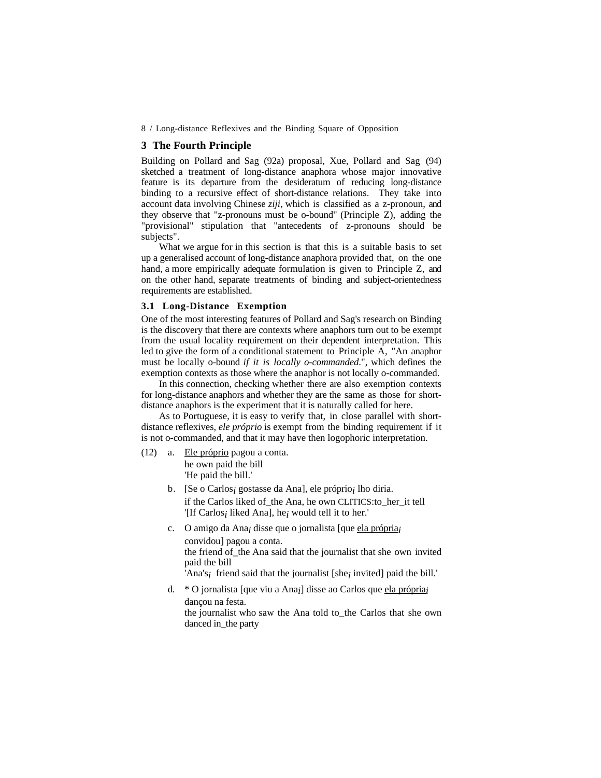# **3 The Fourth Principle**

Building on Pollard and Sag (92a) proposal, Xue, Pollard and Sag (94) sketched a treatment of long-distance anaphora whose major innovative feature is its departure from the desideratum of reducing long-distance binding to a recursive effect of short-distance relations. They take into account data involving Chinese *ziji*, which is classified as a z-pronoun, and they observe that "z-pronouns must be o-bound" (Principle Z), adding the "provisional" stipulation that "antecedents of z-pronouns should be subjects".

What we argue for in this section is that this is a suitable basis to set up a generalised account of long-distance anaphora provided that, on the one hand, a more empirically adequate formulation is given to Principle Z, and on the other hand, separate treatments of binding and subject-orientedness requirements are established.

# **3.1 Long-Distance Exemption**

One of the most interesting features of Pollard and Sag's research on Binding is the discovery that there are contexts where anaphors turn out to be exempt from the usual locality requirement on their dependent interpretation. This led to give the form of a conditional statement to Principle A, "An anaphor must be locally o-bound *if it is locally o-commanded*.", which defines the exemption contexts as those where the anaphor is not locally o-commanded.

In this connection, checking whether there are also exemption contexts for long-distance anaphors and whether they are the same as those for shortdistance anaphors is the experiment that it is naturally called for here.

As to Portuguese, it is easy to verify that, in close parallel with shortdistance reflexives, *ele próprio* is exempt from the binding requirement if it is not o-commanded, and that it may have then logophoric interpretation.

- (12) a. Ele próprio pagou a conta. he own paid the bill 'He paid the bill.'
	- b. [Se o Carlos<sub>i</sub> gostasse da Ana], ele próprio *i* lho diria. if the Carlos liked of\_the Ana, he own CLITICS:to\_her\_it tell '[If Carlos*i* liked Ana], he*i* would tell it to her.'
	- c. O amigo da Ana<sub>i</sub> disse que o jornalista [que ela própria *i* convidou] pagou a conta. the friend of\_the Ana said that the journalist that she own invited paid the bill

'Ana's*i* friend said that the journalist [she*i* invited] paid the bill.'

d. \* O jornalista [que viu a Ana<sub>*i*</sub>] disse ao Carlos que ela própria *i* dançou na festa. the journalist who saw the Ana told to\_the Carlos that she own danced in\_the party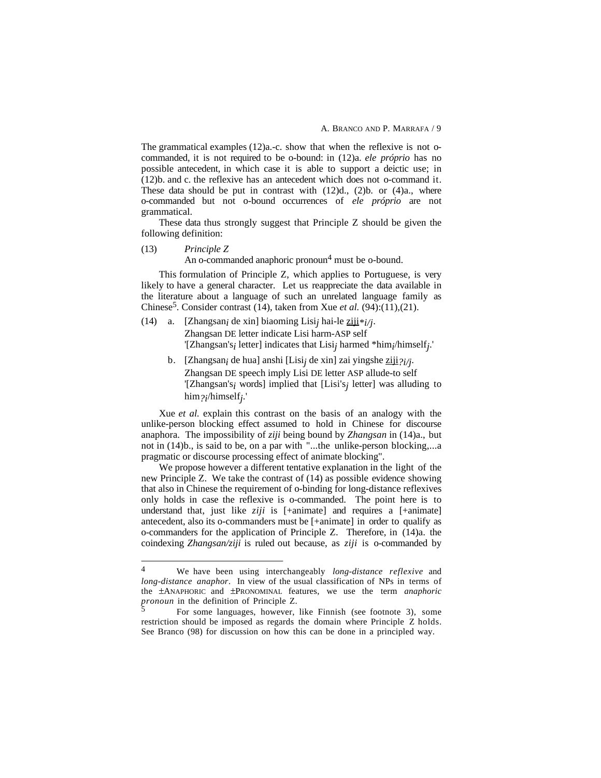The grammatical examples (12)a.-c. show that when the reflexive is not ocommanded, it is not required to be o-bound: in (12)a. *ele próprio* has no possible antecedent, in which case it is able to support a deictic use; in (12)b. and c. the reflexive has an antecedent which does not o-command it. These data should be put in contrast with  $(12)d$ ,  $(2)b$ . or  $(4)a$ , where o-commanded but not o-bound occurrences of *ele próprio* are not grammatical.

These data thus strongly suggest that Principle Z should be given the following definition:

## (13) *Principle Z*

An o-commanded anaphoric pronoun<sup>4</sup> must be o-bound.

This formulation of Principle Z, which applies to Portuguese, is very likely to have a general character. Let us reappreciate the data available in the literature about a language of such an unrelated language family as Chinese5. Consider contrast (14), taken from Xue *et al.* (94):(11),(21).

- (14) a. [Zhangsan*i* de xin] biaoming Lisi*j* hai-le ziji *\*i/j*. Zhangsan DE letter indicate Lisi harm-ASP self '[Zhangsan's*i* letter] indicates that Lisi*j* harmed \*him*i*/himself*j*.'
	- b. [Zhangsan*i* de hua] anshi [Lisi*j* de xin] zai yingshe ziji *?i/j*. Zhangsan DE speech imply Lisi DE letter ASP allude-to self '[Zhangsan's*i* words] implied that [Lisi's*j* letter] was alluding to him*?i*/himself*j*.'

Xue *et al.* explain this contrast on the basis of an analogy with the unlike-person blocking effect assumed to hold in Chinese for discourse anaphora. The impossibility of *ziji* being bound by *Zhangsan* in (14)a., but not in (14)b., is said to be, on a par with "...the unlike-person blocking,...a pragmatic or discourse processing effect of animate blocking".

We propose however a different tentative explanation in the light of the new Principle Z. We take the contrast of (14) as possible evidence showing that also in Chinese the requirement of o-binding for long-distance reflexives only holds in case the reflexive is o-commanded. The point here is to understand that, just like *ziji* is [+animate] and requires a [+animate] antecedent, also its o-commanders must be [+animate] in order to qualify as o-commanders for the application of Principle Z. Therefore, in (14)a. the coindexing *Zhangsan/ziji* is ruled out because, as *ziji* is o-commanded by

 $\overline{4}$ 4 We have been using interchangeably *long-distance reflexive* and *long-distance anaphor*. In view of the usual classification of NPs in terms of the ±ANAPHORIC and ±PRONOMINAL features, we use the term *anaphoric pronoun* in the definition of Principle Z.

<sup>5</sup> For some languages, however, like Finnish (see footnote 3), some restriction should be imposed as regards the domain where Principle Z holds. See Branco (98) for discussion on how this can be done in a principled way.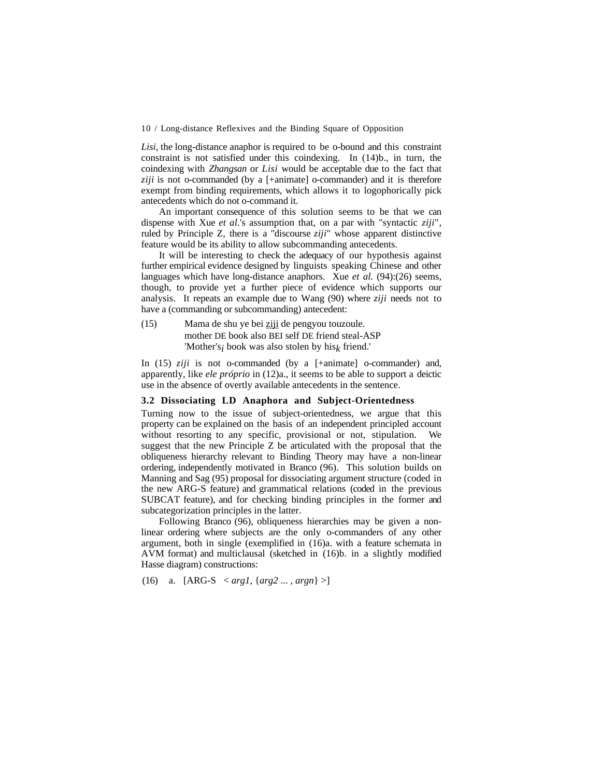*Lisi*, the long-distance anaphor is required to be o-bound and this constraint constraint is not satisfied under this coindexing. In (14)b., in turn, the coindexing with *Zhangsan* or *Lisi* would be acceptable due to the fact that *ziji* is not o-commanded (by a [+animate] o-commander) and it is therefore exempt from binding requirements, which allows it to logophorically pick antecedents which do not o-command it.

An important consequence of this solution seems to be that we can dispense with Xue *et al.*'s assumption that, on a par with "syntactic *ziji*", ruled by Principle Z, there is a "discourse *ziji*" whose apparent distinctive feature would be its ability to allow subcommanding antecedents.

It will be interesting to check the adequacy of our hypothesis against further empirical evidence designed by linguists speaking Chinese and other languages which have long-distance anaphors. Xue *et al.* (94):(26) seems, though, to provide yet a further piece of evidence which supports our analysis. It repeats an example due to Wang (90) where *ziji* needs not to have a (commanding or subcommanding) antecedent:

(15) Mama de shu ye bei ziji de pengyou touzoule. mother DE book also BEI self DE friend steal-ASP 'Mother's*i* book was also stolen by his*k* friend.'

In (15) *ziji* is not o-commanded (by a [+animate] o-commander) and, apparently, like *ele próprio* in (12)a., it seems to be able to support a deictic use in the absence of overtly available antecedents in the sentence.

## **3.2 Dissociating LD Anaphora and Subject-Orientedness**

Turning now to the issue of subject-orientedness, we argue that this property can be explained on the basis of an independent principled account without resorting to any specific, provisional or not, stipulation. We suggest that the new Principle Z be articulated with the proposal that the obliqueness hierarchy relevant to Binding Theory may have a non-linear ordering, independently motivated in Branco (96). This solution builds on Manning and Sag (95) proposal for dissociating argument structure (coded in the new ARG-S feature) and grammatical relations (coded in the previous SUBCAT feature), and for checking binding principles in the former and subcategorization principles in the latter.

Following Branco (96), obliqueness hierarchies may be given a nonlinear ordering where subjects are the only o-commanders of any other argument, both in single (exemplified in (16)a. with a feature schemata in AVM format) and multiclausal (sketched in (16)b. in a slightly modified Hasse diagram) constructions:

(16) a. [ARG-S 
$$
\langle arg1, \{arg2 \ldots, argn\} \rangle]
$$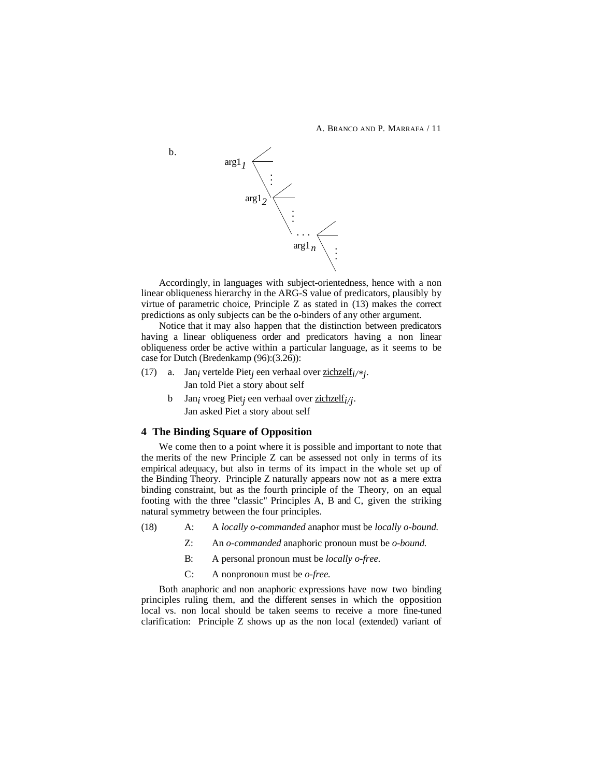A. BRANCO AND P. MARRAFA / 11



Accordingly, in languages with subject-orientedness, hence with a non linear obliqueness hierarchy in the ARG-S value of predicators, plausibly by virtue of parametric choice, Principle Z as stated in (13) makes the correct predictions as only subjects can be the o-binders of any other argument.

Notice that it may also happen that the distinction between predicators having a linear obliqueness order and predicators having a non linear obliqueness order be active within a particular language, as it seems to be case for Dutch (Bredenkamp (96):(3.26)):

- (17) a. Jan<sub>i</sub> vertelde Piet<sub>i</sub> een verhaal over  $\frac{\text{zichzelf}_i}{*}$ . Jan told Piet a story about self
	- b Jan<sub>i</sub> vroeg Piet<sub>i</sub> een verhaal over zichzelfi/j. Jan asked Piet a story about self

## **4 The Binding Square of Opposition**

We come then to a point where it is possible and important to note that the merits of the new Principle Z can be assessed not only in terms of its empirical adequacy, but also in terms of its impact in the whole set up of the Binding Theory. Principle Z naturally appears now not as a mere extra binding constraint, but as the fourth principle of the Theory, on an equal footing with the three "classic" Principles A, B and C, given the striking natural symmetry between the four principles.

- (18) A: A *locally o-commanded* anaphor must be *locally o-bound.*
	- Z: An *o-commanded* anaphoric pronoun must be *o-bound.*
	- B: A personal pronoun must be *locally o-free.*
	- C: A nonpronoun must be *o-free.*

Both anaphoric and non anaphoric expressions have now two binding principles ruling them, and the different senses in which the opposition local vs. non local should be taken seems to receive a more fine-tuned clarification: Principle Z shows up as the non local (extended) variant of

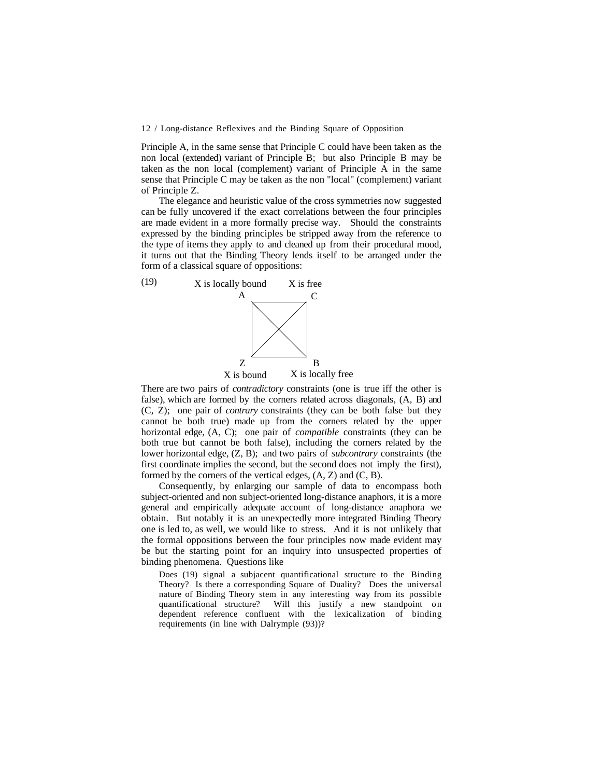Principle A, in the same sense that Principle C could have been taken as the non local (extended) variant of Principle B; but also Principle B may be taken as the non local (complement) variant of Principle A in the same sense that Principle C may be taken as the non "local" (complement) variant of Principle Z.

The elegance and heuristic value of the cross symmetries now suggested can be fully uncovered if the exact correlations between the four principles are made evident in a more formally precise way. Should the constraints expressed by the binding principles be stripped away from the reference to the type of items they apply to and cleaned up from their procedural mood, it turns out that the Binding Theory lends itself to be arranged under the form of a classical square of oppositions:



There are two pairs of *contradictory* constraints (one is true iff the other is false), which are formed by the corners related across diagonals, (A, B) and (C, Z); one pair of *contrary* constraints (they can be both false but they cannot be both true) made up from the corners related by the upper horizontal edge, (A, C); one pair of *compatible* constraints (they can be both true but cannot be both false), including the corners related by the lower horizontal edge, (Z, B); and two pairs of *subcontrary* constraints (the first coordinate implies the second, but the second does not imply the first), formed by the corners of the vertical edges,  $(A, Z)$  and  $(C, B)$ .

Consequently, by enlarging our sample of data to encompass both subject-oriented and non subject-oriented long-distance anaphors, it is a more general and empirically adequate account of long-distance anaphora we obtain. But notably it is an unexpectedly more integrated Binding Theory one is led to, as well, we would like to stress. And it is not unlikely that the formal oppositions between the four principles now made evident may be but the starting point for an inquiry into unsuspected properties of binding phenomena. Questions like

Does (19) signal a subjacent quantificational structure to the Binding Theory? Is there a corresponding Square of Duality? Does the universal nature of Binding Theory stem in any interesting way from its possible quantificational structure? Will this justify a new standpoint on dependent reference confluent with the lexicalization of binding requirements (in line with Dalrymple (93))?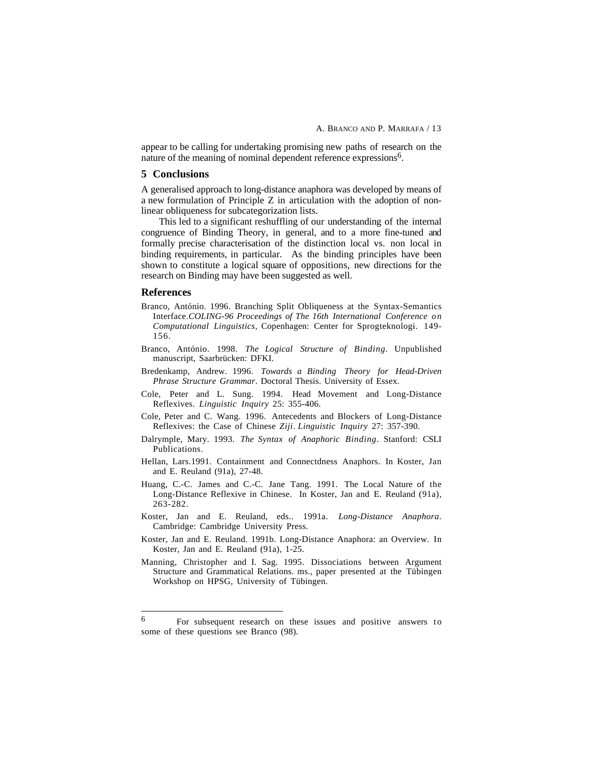appear to be calling for undertaking promising new paths of research on the nature of the meaning of nominal dependent reference expressions<sup>6</sup>.

## **5 Conclusions**

A generalised approach to long-distance anaphora was developed by means of a new formulation of Principle Z in articulation with the adoption of nonlinear obliqueness for subcategorization lists.

This led to a significant reshuffling of our understanding of the internal congruence of Binding Theory, in general, and to a more fine-tuned and formally precise characterisation of the distinction local vs. non local in binding requirements, in particular. As the binding principles have been shown to constitute a logical square of oppositions, new directions for the research on Binding may have been suggested as well.

## **References**

- Branco, António. 1996. Branching Split Obliqueness at the Syntax-Semantics Interface.*COLING-96 Proceedings of The 16th International Conference on Computational Linguistics*, Copenhagen: Center for Sprogteknologi. 149- 156.
- Branco, António. 1998. *The Logical Structure of Binding*. Unpublished manuscript, Saarbrücken: DFKI.
- Bredenkamp, Andrew. 1996. *Towards a Binding Theory for Head-Driven Phrase Structure Grammar*. Doctoral Thesis. University of Essex.
- Cole, Peter and L. Sung. 1994. Head Movement and Long-Distance Reflexives. *Linguistic Inquiry* 25: 355-406.
- Cole, Peter and C. Wang. 1996. Antecedents and Blockers of Long-Distance Reflexives: the Case of Chinese *Ziji*. *Linguistic Inquiry* 27: 357-390.
- Dalrymple, Mary. 1993. *The Syntax of Anaphoric Binding*. Stanford: CSLI Publications.
- Hellan, Lars.1991. Containment and Connectdness Anaphors. In Koster, Jan and E. Reuland (91a), 27-48.
- Huang, C.-C. James and C.-C. Jane Tang. 1991. The Local Nature of the Long-Distance Reflexive in Chinese. In Koster, Jan and E. Reuland (91a), 263-282.
- Koster, Jan and E. Reuland, eds.. 1991a. *Long-Distance Anaphora*. Cambridge: Cambridge University Press.
- Koster, Jan and E. Reuland. 1991b. Long-Distance Anaphora: an Overview. In Koster, Jan and E. Reuland (91a), 1-25.
- Manning, Christopher and I. Sag. 1995. Dissociations between Argument Structure and Grammatical Relations. ms., paper presented at the Tübingen Workshop on HPSG, University of Tübingen.

<sup>6</sup> 6 For subsequent research on these issues and positive answers to some of these questions see Branco (98).